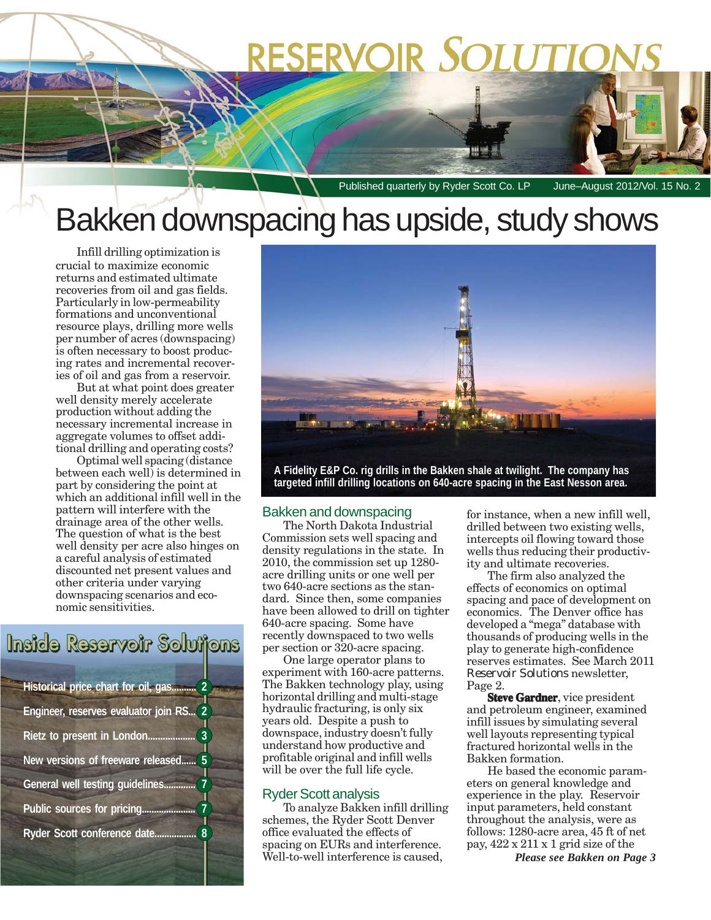# **RESERVOIR SOLUTIC**

Published quarterly by Ryder Scott Co. LP June-August 2012/Vol. 15 No. 2

# Bakken downspacing has upside, study shows

Infill drilling optimization is crucial to maximize economic returns and estimated ultimate recoveries from oil and gas fields. Particularly in low-permeability formations and unconventional resource plays, drilling more wells per number of acres (downspacing) is often necessary to boost producing rates and incremental recoveries of oil and gas from a reservoir.

But at what point does greater well density merely accelerate production without adding the necessary incremental increase in aggregate volumes to offset additional drilling and operating costs?

Optimal well spacing (distance between each well) is determined in part by considering the point at which an additional infill well in the pattern will interfere with the drainage area of the other wells. The question of what is the best well density per acre also hinges on a careful analysis of estimated discounted net present values and other criteria under varying downspacing scenarios and economic sensitivities.

### Inside Reservoir Solutions

| Historical price chart for oil, gas<br>$\overline{2}$            |  |  |  |  |  |
|------------------------------------------------------------------|--|--|--|--|--|
| Engineer, reserves evaluator join RS<br>$\overline{\mathcal{L}}$ |  |  |  |  |  |
| 3<br>Rietz to present in London                                  |  |  |  |  |  |
| 5<br>New versions of freeware released                           |  |  |  |  |  |
| General well testing quidelines.                                 |  |  |  |  |  |
| Public sources for pricing                                       |  |  |  |  |  |
| Ryder Scott conference date.                                     |  |  |  |  |  |



**targeted infill drilling locations on 640-acre spacing in the East Nesson area.**

#### Bakken and downspacing

The North Dakota Industrial Commission sets well spacing and density regulations in the state. In 2010, the commission set up 1280 acre drilling units or one well per two 640-acre sections as the standard. Since then, some companies have been allowed to drill on tighter 640-acre spacing. Some have recently downspaced to two wells per section or 320-acre spacing.

One large operator plans to experiment with 160-acre patterns. The Bakken technology play, using horizontal drilling and multi-stage hydraulic fracturing, is only six years old. Despite a push to downspace, industry doesn't fully understand how productive and profitable original and infill wells will be over the full life cycle.

#### Ryder Scott analysis

To analyze Bakken infill drilling schemes, the Ryder Scott Denver office evaluated the effects of spacing on EURs and interference. Well-to-well interference is caused,

for instance, when a new infill well, drilled between two existing wells, intercepts oil flowing toward those wells thus reducing their productivity and ultimate recoveries.

The firm also analyzed the effects of economics on optimal spacing and pace of development on economics. The Denver office has developed a "mega" database with thousands of producing wells in the play to generate high-confidence reserves estimates. See March 2011 *Reservoir Solutions* newsletter, Page 2.

**Steve Gardner**, vice president and petroleum engineer, examined infill issues by simulating several well layouts representing typical fractured horizontal wells in the Bakken formation.

He based the economic parameters on general knowledge and experience in the play. Reservoir input parameters, held constant throughout the analysis, were as follows: 1280-acre area, 45 ft of net pay, 422 x 211 x 1 grid size of the

*Please see Bakken on Page 3*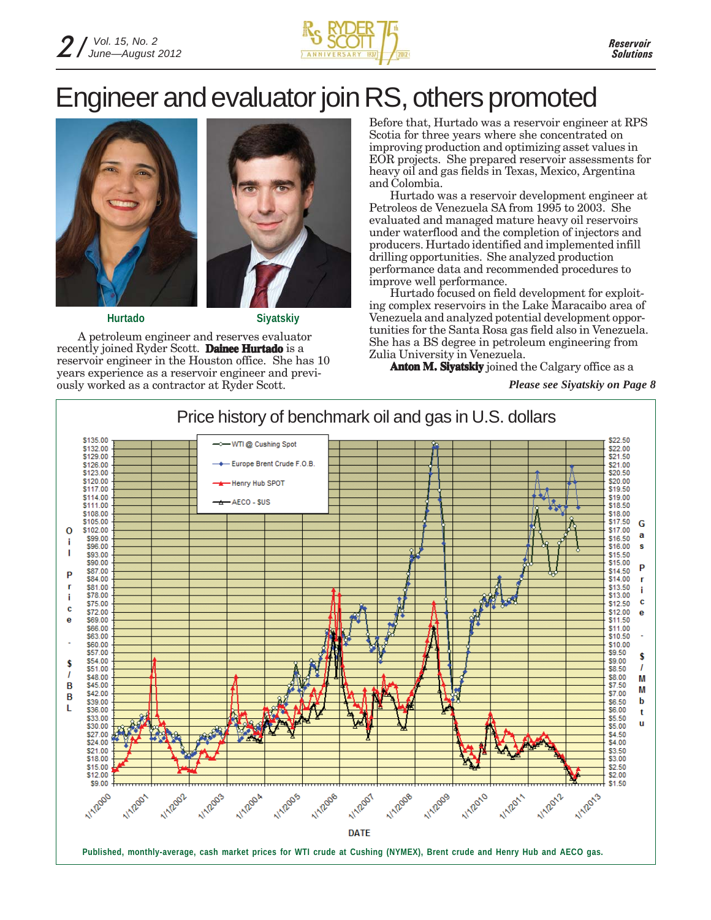

## Engineer and evaluator join RS, others promoted



**Hurtado**



**Siyatskiy**

A petroleum engineer and reserves evaluator recently joined Ryder Scott. **Dainee Hurtado** is a reservoir engineer in the Houston office. She has 10 years experience as a reservoir engineer and previously worked as a contractor at Ryder Scott.

Before that, Hurtado was a reservoir engineer at RPS Scotia for three years where she concentrated on improving production and optimizing asset values in EOR projects. She prepared reservoir assessments for heavy oil and gas fields in Texas, Mexico, Argentina and Colombia.

Hurtado was a reservoir development engineer at Petroleos de Venezuela SA from 1995 to 2003. She evaluated and managed mature heavy oil reservoirs under waterflood and the completion of injectors and producers. Hurtado identified and implemented infill drilling opportunities. She analyzed production performance data and recommended procedures to improve well performance.

Hurtado focused on field development for exploiting complex reservoirs in the Lake Maracaibo area of Venezuela and analyzed potential development opportunities for the Santa Rosa gas field also in Venezuela. She has a BS degree in petroleum engineering from Zulia University in Venezuela.

**Anton M. Siyatskiy** joined the Calgary office as a

*Please see Siyatskiy on Page 8*

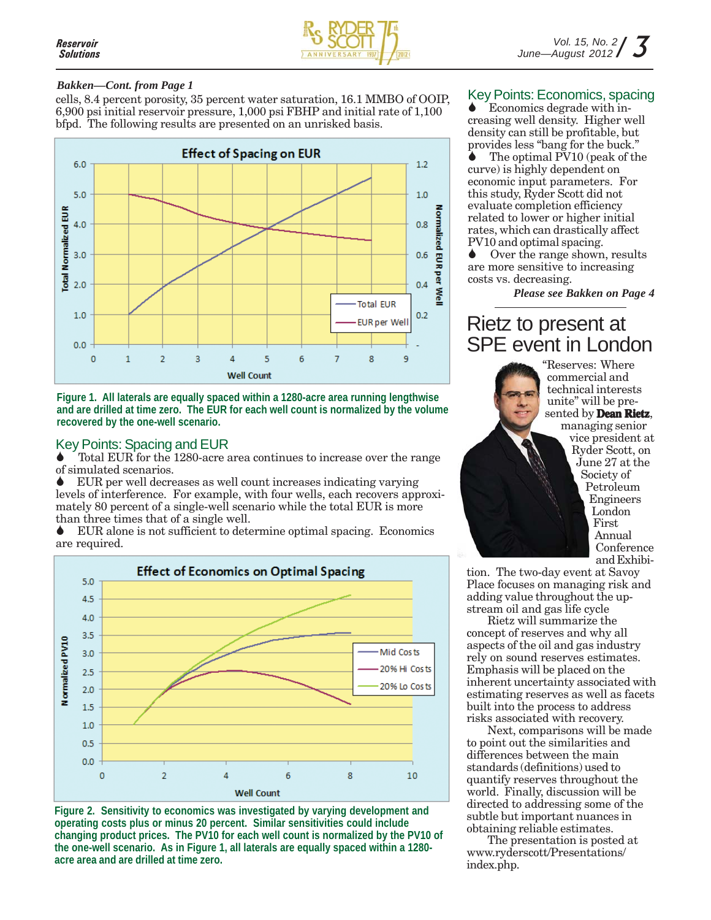

#### *Bakken—Cont. from Page 1*

cells, 8.4 percent porosity, 35 percent water saturation, 16.1 MMBO of OOIP, 6,900 psi initial reservoir pressure, 1,000 psi FBHP and initial rate of 1,100 bfpd. The following results are presented on an unrisked basis.





#### Key Points: Spacing and EUR

Total EUR for the 1280-acre area continues to increase over the range of simulated scenarios.

EUR per well decreases as well count increases indicating varying levels of interference. For example, with four wells, each recovers approximately 80 percent of a single-well scenario while the total EUR is more than three times that of a single well.

EUR alone is not sufficient to determine optimal spacing. Economics are required.



**Figure 2. Sensitivity to economics was investigated by varying development and operating costs plus or minus 20 percent. Similar sensitivities could include changing product prices. The PV10 for each well count is normalized by the PV10 of the one-well scenario. As in Figure 1, all laterals are equally spaced within a 1280 acre area and are drilled at time zero.**

#### Key Points: Economics, spacing

Economics degrade with increasing well density. Higher well density can still be profitable, but provides less "bang for the buck."

The optimal PV10 (peak of the curve) is highly dependent on economic input parameters. For this study, Ryder Scott did not evaluate completion efficiency related to lower or higher initial rates, which can drastically affect PV10 and optimal spacing.

Over the range shown, results are more sensitive to increasing costs vs. decreasing.

*Please see Bakken on Page 4*

### Rietz to present at SPE event in London

"Reserves: Where commercial and technical interests unite" will be presented by **Dean Rietz**, managing senior vice president at Ryder Scott, on June 27 at the Society of Petroleum Engineers London First Annual Conference and Exhibi-

tion. The two-day event at Savoy Place focuses on managing risk and adding value throughout the upstream oil and gas life cycle

Rietz will summarize the concept of reserves and why all aspects of the oil and gas industry rely on sound reserves estimates. Emphasis will be placed on the inherent uncertainty associated with estimating reserves as well as facets built into the process to address risks associated with recovery.

Next, comparisons will be made to point out the similarities and differences between the main standards (definitions) used to quantify reserves throughout the world. Finally, discussion will be directed to addressing some of the subtle but important nuances in obtaining reliable estimates.

The presentation is posted at www.ryderscott/Presentations/ index.php.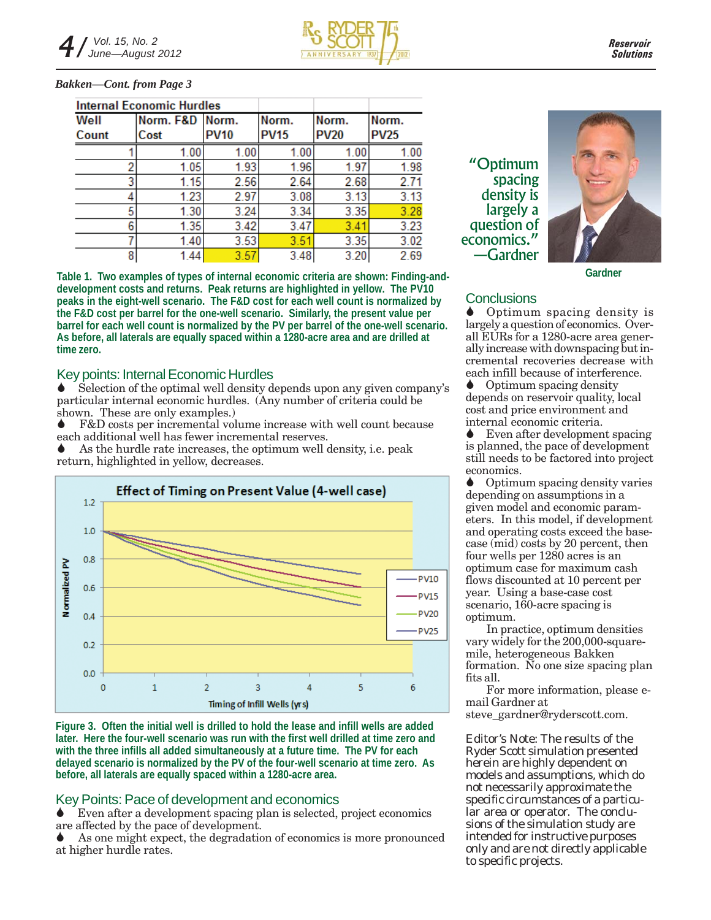#### *Bakken—Cont. from Page 3*

| <b>Internal Economic Hurdles</b> |                 |             |             |             |             |
|----------------------------------|-----------------|-------------|-------------|-------------|-------------|
| Well                             | Norm. F&D Norm. |             | Norm.       | Norm.       | Norm.       |
| Count                            | Cost            | <b>PV10</b> | <b>PV15</b> | <b>PV20</b> | <b>PV25</b> |
|                                  | 1.00            | 1.00        | 1.00        | 1.00        | 1.00        |
| 2                                | 1.05            | 1.93        | 1.96        | 1.97        | 1.98        |
| 3                                | 1.15            | 2.56        | 2.64        | 2.68        | 2.71        |
| 4                                | 1.23            | 2.97        | 3.08        | 3.13        | 3.13        |
| 5                                | 1.30            | 3.24        | 3.34        | 3.35        | 3.28        |
| 6                                | 1.35            | 3.42        | 3.47        | 3.41        | 3.23        |
|                                  | 1.40            | 3.53        | 3.51        | 3.35        | 3.02        |
| 8                                | 1.44            | 3.57        | 3.48        | 3.20        | 2.69        |

**Table 1. Two examples of types of internal economic criteria are shown: Finding-anddevelopment costs and returns. Peak returns are highlighted in yellow. The PV10 peaks in the eight-well scenario. The F&D cost for each well count is normalized by the F&D cost per barrel for the one-well scenario. Similarly, the present value per barrel for each well count is normalized by the PV per barrel of the one-well scenario. As before, all laterals are equally spaced within a 1280-acre area and are drilled at time zero.**

#### Key points: Internal Economic Hurdles

Selection of the optimal well density depends upon any given company's particular internal economic hurdles. (Any number of criteria could be shown. These are only examples.)

F&D costs per incremental volume increase with well count because each additional well has fewer incremental reserves.

 $\bullet$  As the hurdle rate increases, the optimum well density, i.e. peak return, highlighted in yellow, decreases.



**Figure 3. Often the initial well is drilled to hold the lease and infill wells are added later. Here the four-well scenario was run with the first well drilled at time zero and with the three infills all added simultaneously at a future time. The PV for each delayed scenario is normalized by the PV of the four-well scenario at time zero. As before, all laterals are equally spaced within a 1280-acre area.**

#### Key Points: Pace of development and economics

Even after a development spacing plan is selected, project economics are affected by the pace of development.

As one might expect, the degradation of economics is more pronounced at higher hurdle rates.

"Optimum spacing density is largely a question of economics." —Gardner



**Gardner**

### **Conclusions**

 Optimum spacing density is largely a question of economics. Overall EURs for a 1280-acre area generally increase with downspacing but incremental recoveries decrease with each infill because of interference.

Optimum spacing density depends on reservoir quality, local cost and price environment and internal economic criteria.

Even after development spacing is planned, the pace of development still needs to be factored into project economics.

Optimum spacing density varies depending on assumptions in a given model and economic parameters. In this model, if development and operating costs exceed the basecase (mid) costs by 20 percent, then four wells per 1280 acres is an optimum case for maximum cash flows discounted at 10 percent per year. Using a base-case cost scenario, 160-acre spacing is optimum.

In practice, optimum densities vary widely for the 200,000-squaremile, heterogeneous Bakken formation. No one size spacing plan fits all.

For more information, please email Gardner at steve\_gardner@ryderscott.com.

*Editor's Note: The results of the Ryder Scott simulation presented herein are highly dependent on models and assumptions, which do not necessarily approximate the specific circumstances of a particular area or operator. The conclusions of the simulation study are intended for instructive purposes only and are not directly applicable to specific projects.*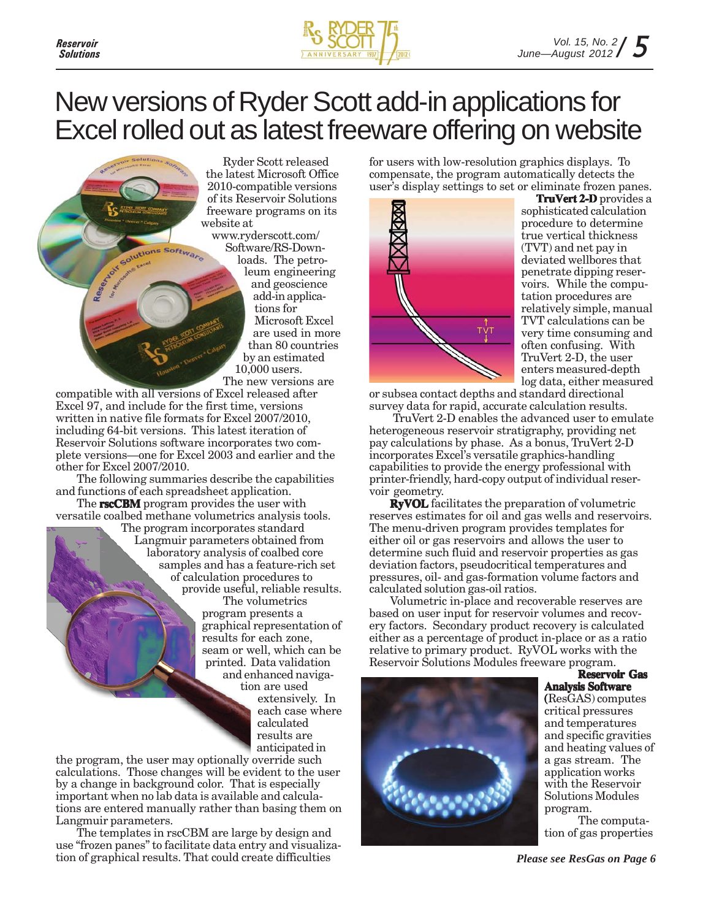



### New versions of Ryder Scott add-in applications for Excel rolled out as latest freeware offering on website

Ryder Scott released the latest Microsoft Office 2010-compatible versions of its Reservoir Solutions freeware programs on its website at www.ryderscott.com/ Software/RS-Downloads. The petroleum engineering and geoscience add-in applications for Microsoft Excel are used in more than 80 countries by an estimated 10,000 users. The new versions are

compatible with all versions of Excel released after Excel 97, and include for the first time, versions written in native file formats for Excel 2007/2010, including 64-bit versions. This latest iteration of Reservoir Solutions software incorporates two complete versions—one for Excel 2003 and earlier and the other for Excel 2007/2010.

Solutions Software

Reserved

The following summaries describe the capabilities and functions of each spreadsheet application.

The **rscCBM** program provides the user with versatile coalbed methane volumetrics analysis tools.

The program incorporates standard Langmuir parameters obtained from laboratory analysis of coalbed core samples and has a feature-rich set of calculation procedures to provide useful, reliable results. The volumetrics

program presents a graphical representation of results for each zone, seam or well, which can be printed. Data validation and enhanced naviga-

tion are used extensively. In each case where calculated results are anticipated in

the program, the user may optionally override such calculations. Those changes will be evident to the user by a change in background color. That is especially important when no lab data is available and calculations are entered manually rather than basing them on Langmuir parameters.

The templates in rscCBM are large by design and use "frozen panes" to facilitate data entry and visualization of graphical results. That could create difficulties

for users with low-resolution graphics displays. To compensate, the program automatically detects the user's display settings to set or eliminate frozen panes.



**TruVert 2-D** provides a sophisticated calculation procedure to determine true vertical thickness (TVT) and net pay in deviated wellbores that penetrate dipping reservoirs. While the computation procedures are relatively simple, manual TVT calculations can be very time consuming and often confusing. With TruVert 2-D, the user enters measured-depth log data, either measured

or subsea contact depths and standard directional survey data for rapid, accurate calculation results.

 TruVert 2-D enables the advanced user to emulate heterogeneous reservoir stratigraphy, providing net pay calculations by phase. As a bonus, TruVert 2-D incorporates Excel's versatile graphics-handling capabilities to provide the energy professional with printer-friendly, hard-copy output of individual reservoir geometry.

**RyVOL** facilitates the preparation of volumetric reserves estimates for oil and gas wells and reservoirs. The menu-driven program provides templates for either oil or gas reservoirs and allows the user to determine such fluid and reservoir properties as gas deviation factors, pseudocritical temperatures and pressures, oil- and gas-formation volume factors and calculated solution gas-oil ratios.

Volumetric in-place and recoverable reserves are based on user input for reservoir volumes and recovery factors. Secondary product recovery is calculated either as a percentage of product in-place or as a ratio relative to primary product. RyVOL works with the Reservoir Solutions Modules freeware program. **Reservoir Gas**



**Analysis Software** (ResGAS) computes ( critical pressures and temperatures and specific gravities and heating values of a gas stream. The application works with the Reservoir Solutions Modules program.

The computation of gas properties

*Please see ResGas on Page 6*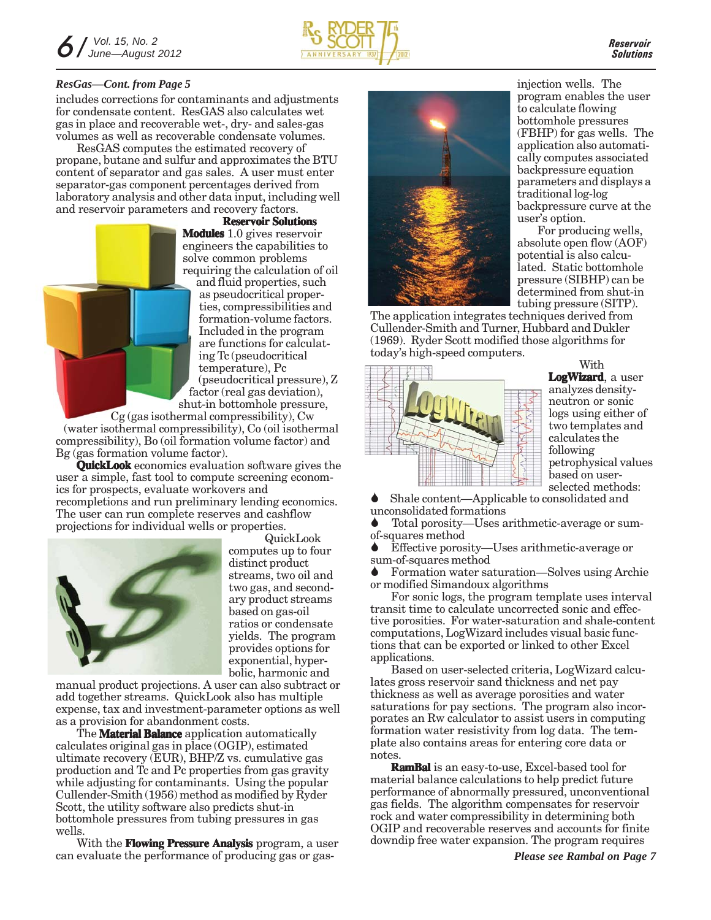

includes corrections for contaminants and adjustments for condensate content. ResGAS also calculates wet gas in place and recoverable wet-, dry- and sales-gas volumes as well as recoverable condensate volumes.

ResGAS computes the estimated recovery of propane, butane and sulfur and approximates the BTU content of separator and gas sales. A user must enter separator-gas component percentages derived from laboratory analysis and other data input, including well and reservoir parameters and recovery factors.

**Reservoir Solutions Modules** 1.0 gives reservoir engineers the capabilities to solve common problems requiring the calculation of oil and fluid properties, such

as pseudocritical properties, compressibilities and formation-volume factors. Included in the program are functions for calculating Tc (pseudocritical temperature), Pc (pseudocritical pressure), Z factor (real gas deviation), shut-in bottomhole pressure,

Cg (gas isothermal compressibility), Cw (water isothermal compressibility), Co (oil isothermal compressibility), Bo (oil formation volume factor) and Bg (gas formation volume factor).

**QuickLook** economics evaluation software gives the user a simple, fast tool to compute screening economics for prospects, evaluate workovers and recompletions and run preliminary lending economics. The user can run complete reserves and cashflow projections for individual wells or properties.



QuickLook computes up to four distinct product streams, two oil and two gas, and secondary product streams based on gas-oil ratios or condensate yields. The program provides options for exponential, hyperbolic, harmonic and

manual product projections. A user can also subtract or add together streams. QuickLook also has multiple expense, tax and investment-parameter options as well as a provision for abandonment costs.

The **Material Balance** application automatically calculates original gas in place (OGIP), estimated ultimate recovery (EUR), BHP/Z vs. cumulative gas production and Tc and Pc properties from gas gravity while adjusting for contaminants. Using the popular Cullender-Smith (1956) method as modified by Ryder Scott, the utility software also predicts shut-in bottomhole pressures from tubing pressures in gas wells.

With the **Flowing Pressure Analysis** program, a user can evaluate the performance of producing gas or gas-



program enables the user to calculate flowing bottomhole pressures (FBHP) for gas wells. The application also automatically computes associated backpressure equation parameters and displays a traditional log-log backpressure curve at the user's option.

For producing wells, absolute open flow (AOF) potential is also calculated. Static bottomhole pressure (SIBHP) can be determined from shut-in tubing pressure (SITP).

The application integrates techniques derived from Cullender-Smith and Turner, Hubbard and Dukler (1969). Ryder Scott modified those algorithms for today's high-speed computers.



With **LogWizard**, a user analyzes densityneutron or sonic logs using either of two templates and calculates the following petrophysical values based on user-

selected methods:

Shale content—Applicable to consolidated and unconsolidated formations

Total porosity—Uses arithmetic-average or sumof-squares method

Effective porosity—Uses arithmetic-average or sum-of-squares method

Formation water saturation—Solves using Archie or modified Simandoux algorithms

For sonic logs, the program template uses interval transit time to calculate uncorrected sonic and effective porosities. For water-saturation and shale-content computations, LogWizard includes visual basic functions that can be exported or linked to other Excel applications.

Based on user-selected criteria, LogWizard calculates gross reservoir sand thickness and net pay thickness as well as average porosities and water saturations for pay sections. The program also incorporates an Rw calculator to assist users in computing formation water resistivity from log data. The template also contains areas for entering core data or notes.

**RamBal** is an easy-to-use, Excel-based tool for material balance calculations to help predict future performance of abnormally pressured, unconventional gas fields. The algorithm compensates for reservoir rock and water compressibility in determining both OGIP and recoverable reserves and accounts for finite downdip free water expansion. The program requires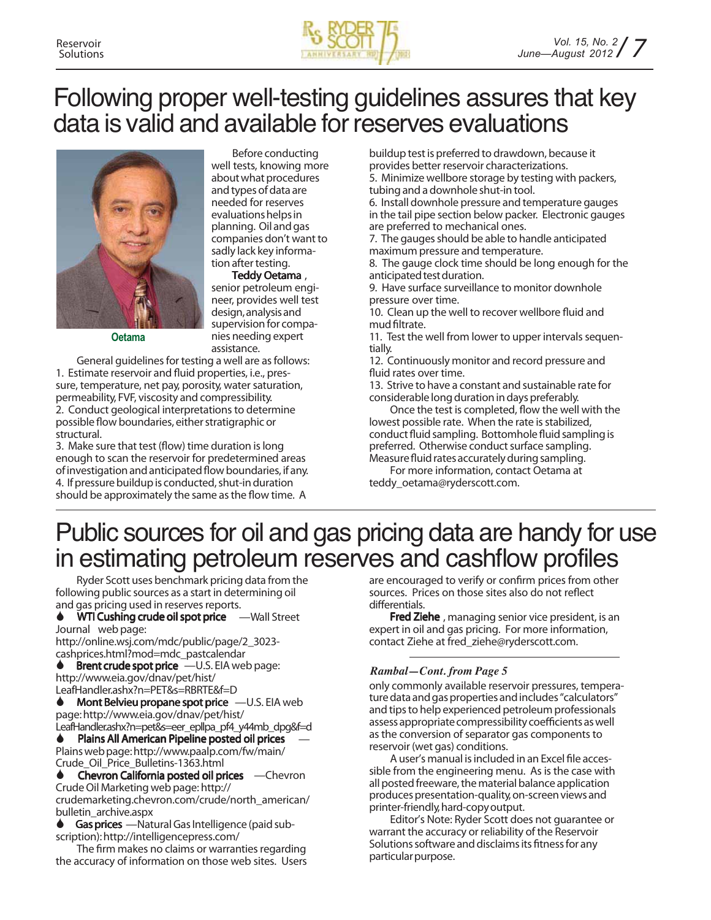

### Following proper well-testing guidelines assures that key data is valid and available for reserves evaluations



nies needing expert assistance. General guidelines for testing a well are as follows: 1. Estimate reservoir and fluid properties, i.e., pressure, temperature, net pay, porosity, water saturation, permeability, FVF, viscosity and compressibility. 2. Conduct geological interpretations to determine possible flow boundaries, either stratigraphic or **Oetama**

structural. 3. Make sure that test (flow) time duration is long enough to scan the reservoir for predetermined areas of investigation and anticipated flow boundaries, if any. 4. If pressure buildup is conducted, shut-in duration should be approximately the same as the flow time. A

Before conducting well tests, knowing more about what procedures and types of data are needed for reserves evaluations helps in planning. Oil andgas companies don't want to sadly lack key information after testing.

**Teddy Oetama** , senior petroleum engineer, provides well test design,analysisand supervision for compabuildup testis preferred to drawdown, because it provides better reservoir characterizations. 5. Minimize wellbore storage by testing with packers, tubing and a downhole shut-in tool.

6. Install downhole pressure and temperature gauges in the tail pipe section below packer. Electronic gauges are preferred to mechanical ones.

7. The gauges should be able to handle anticipated maximum pressure and temperature.

8. The gauge clock time should be long enough for the anticipated test duration.

9. Have surface surveillance to monitor downhole pressure over time.

10. Clean up the well to recover wellbore fluid and mud filtrate.

11. Test the well from lower to upper intervals sequentially.

12. Continuously monitor and record pressure and fluid rates over time.

13. Strive to have a constant and sustainable rate for considerable long duration in days preferably.

Once the test is completed, flow the well with the lowest possible rate. When the rate is stabilized, conduct fluid sampling. Bottomhole fluid sampling is preferred. Otherwise conduct surface sampling. Measure fluid rates accurately during sampling.

For more information, contact Oetama at teddy\_oetama@ryderscott.com.

### Public sources for oil and gas pricing data are handy for use in estimating petroleum reserves and cashflow profiles

Ryder Scott uses benchmark pricing data from the following public sources as a start in determining oil and gas pricing used in reserves reports.

**WTI** Cushing crude oil spot price —Wall Street Journal web page:

http://online.wsj.com/mdc/public/page/2\_3023 cashprices.html?mod=mdc\_pastcalendar

**Brent crude spot price** —U.S. EIA web page: http://www.eia.gov/dnav/pet/hist/ LeafHandler.ashx?n=PET&s=RBRTE&f=D

 **Mont Belvieu propane spot price** —U.S. EIA web page:http://www.eia.gov/dnav/pet/hist/

LeafHandler.ashx?n=pet&s=eer\_epllpa\_pf4\_y44mb\_dpg&f=d **Plains All American Pipeline posted oil prices** Plainswebpage:http://www.paalp.com/fw/main/ Crude\_Oil\_Price\_Bulletins-1363.html

 **Chevron California posted oil prices** —Chevron CrudeOil Marketing web page: http:// crudemarketing.chevron.com/crude/north\_american/

bulletin\_archive.aspx

Gas prices **-**Natural Gas Intelligence (paid subscription): http://intelligencepress.com/

The firm makes no claims or warranties regarding the accuracy of information on those web sites. Users are encouraged to verify or confirm prices from other sources. Prices on those sites also do not reflect differentials.

**Fred Ziehe** , managing senior vice president, is an expert in oil and gas pricing. For more information, contact Ziehe at fred\_ziehe@ryderscott.com.

#### *Rambal—Cont. from Page 5*

only commonly available reservoir pressures, temperature data and gas properties and includes "calculators" and tipsto help experienced petroleum professionals assess appropriate compressibility coefficients as well as the conversion of separator gas components to reservoir (wet gas) conditions.

A user's manual is included in an Excel file accessible from the engineering menu. As is the case with all posted freeware, the material balance application produces presentation-quality, on-screen views and printer-friendly, hard-copy output.

Editor's Note: Ryder Scott does not guarantee or warrant the accuracy or reliability of the Reservoir Solutions software and disclaims its fitness for any particular purpose.